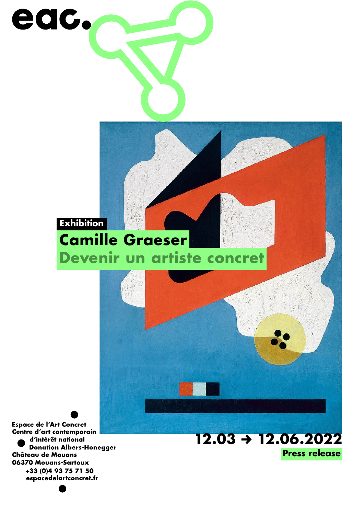

**Espace de l'Art Concret** Centre d'art contemporain d'intérêt national **Donation Albers-Honegger Château de Mouans** 06370 Mouans-Sartoux +33 (0)4 93 75 71 50 espacedelartconcret.fr

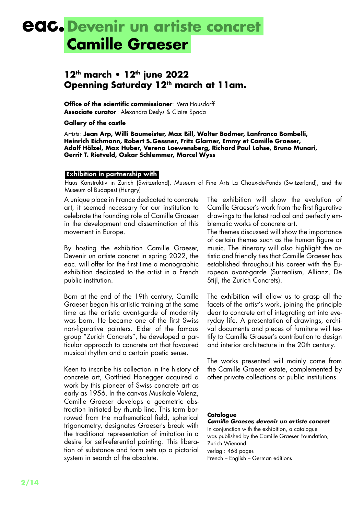### **eac.** Devenir un artiste concret **Camille Graeser**

### **12th march • 12th june 2022 Openning Saturday 12th march at 11am.**

**Office of the scientific commissioner**: Vera Hausdorff **Associate curator** : Alexandra Deslys & Claire Spada

**Gallery of the castle**

Artists: **Jean Arp, Willi Baumeister, Max Bill, Walter Bodmer, Lanfranco Bombelli, Heinrich Eichmann, Robert S.Gessner, Fritz Glarner, Emmy et Camille Graeser, Adolf Hölzel, Max Huber, Verena Loewensberg, Richard Paul Lohse, Bruno Munari, Gerrit T. Rietveld, Oskar Schlemmer, Marcel Wyss**

#### **Exhibition in partnership with**

Haus Konstruktiv in Zurich (Switzerland), Museum of Fine Arts La Chaux-de-Fonds (Switzerland), and the Museum of Budapest (Hungry)

A unique place in France dedicated to concrete art, it seemed necessary for our institution to celebrate the founding role of Camille Graeser in the development and dissemination of this movement in Europe.

By hosting the exhibition Camille Graeser, Devenir un artiste concret in spring 2022, the eac. will offer for the first time a monographic exhibition dedicated to the artist in a French public institution.

Born at the end of the 19th century, Camille Graeser began his artistic training at the same time as the artistic avant-garde of modernity was born. He became one of the first Swiss non-figurative painters. Elder of the famous group "Zurich Concrets", he developed a particular approach to concrete art that favoured musical rhythm and a certain poetic sense.

Keen to inscribe his collection in the history of concrete art, Gottfried Honegger acquired a work by this pioneer of Swiss concrete art as early as 1956. In the canvas Musikale Valenz, Camille Graeser develops a geometric abstraction initiated by rhumb line. This term borrowed from the mathematical field, spherical trigonometry, designates Graeser's break with the traditional representation of imitation in a desire for self-referential painting. This liberation of substance and form sets up a pictorial system in search of the absolute.

The exhibition will show the evolution of Camille Graeser's work from the first figurative drawings to the latest radical and perfectly emblematic works of concrete art.

The themes discussed will show the importance of certain themes such as the human figure or music. The itinerary will also highlight the artistic and friendly ties that Camille Graeser has established throughout his career with the European avant-garde (Surrealism, Allianz, De Stijl, the Zurich Concrets).

The exhibition will allow us to grasp all the facets of the artist's work, joining the principle dear to concrete art of integrating art into everyday life. A presentation of drawings, archival documents and pieces of furniture will testify to Camille Graeser's contribution to design and interior architecture in the 20th century.

The works presented will mainly come from the Camille Graeser estate, complemented by other private collections or public institutions.

#### **Catalogue**

*Camille Graeser, devenir un artiste concret* In conjunction with the exhibition, a catalogue was published by the Camille Graeser Foundation, Zurich Wienand verlag : 468 pages French – English – German editions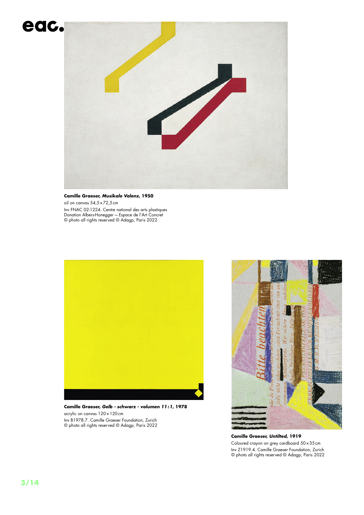

**Camille Graeser,** *Musikale Valenz***, 1950** oil on canvas 54,5×72,5cm Inv FNAC 02-1224. Centre national des arts plastiques Donation Albers-Honegger—Espace de l'Art Concret © photo all rights reserved © Adagp, Paris 2022



**Camille Graeser,** *Gelb - schwarz - volumen 11 :1***, 1978** acrylic on canvas 120×120cm Inv B1978.7. Camille Graeser Foundation, Zurich © photo all rights reserved © Adagp, Paris 2022



**Camille Graeser,** *Untilted***, 1919** Coloured crayon on grey cardboard 50×35cm Inv Z1919.4. Camille Graeser Foundation, Zurich © photo all rights reserved © Adagp, Paris 2022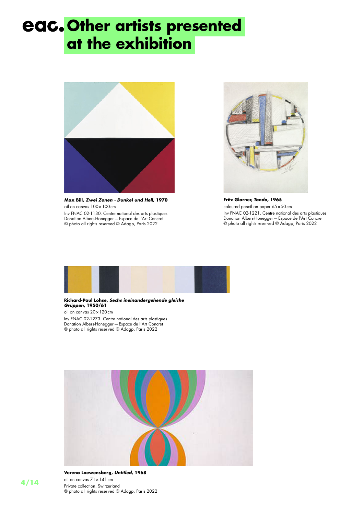# **Other artists presented at the exhibition**



**Max Bill,** *Zwei Zonen - Dunkel und Hell***, 1970** oil on canvas 100×100cm Inv FNAC 02-1130. Centre national des arts plastiques Donation Albers-Honegger—Espace de l'Art Concret

© photo all rights reserved © Adagp, Paris 2022



**Fritz Glarner,** *Tondo***, 1965** coloured pencil on paper 65×50cm Inv FNAC 02-1221. Centre national des arts plastiques Donation Albers-Honegger—Espace de l'Art Concret © photo all rights reserved © Adagp, Paris 2022



#### **Richard-Paul Lohse,** *Sechs ineinandergehende gleiche Grüppen***, 1950/61** oil on canvas 20×120cm Inv FNAC 02-1273. Centre national des arts plastiques

Donation Albers-Honegger—Espace de l'Art Concret © photo all rights reserved © Adagp, Paris 2022



**Verena Loewensberg,** *Untitled***, 1968**

oil on canvas 71×141cm Private collection, Switzerland © photo all rights reserved © Adagp, Paris 2022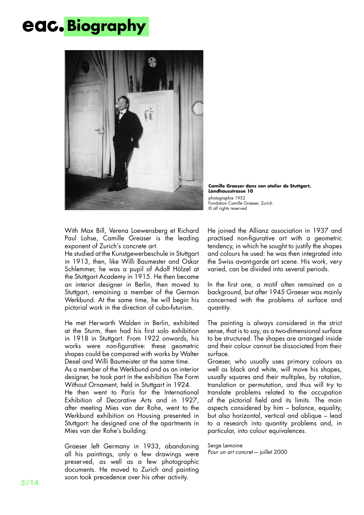# **Biography**



**Camille Graeser dans son atelier de Stuttgart, Landhausstrasse 10** photographie 1952 Fondation Camille Graeser, Zurich © all rights reserved

With Max Bill, Verena Loewensberg et Richard Paul Lohse, Camille Greaser is the leading exponent of Zurich's concrete art.

He studied at the Kunstgewerbeschule in Stuttgart in 1913, then, like Willi Baumester and Oskar Schlemmer, he was a pupil of Adolf Hölzel at the Stuttgart Academy in 1915. He then became an interior designer in Berlin, then moved to Stuttgart, remaining a member of the German Werkbund. At the same time, he will begin his pictorial work in the direction of cubo-futurism.

He met Herwarth Walden in Berlin, exhibited at the Sturm, then had his first solo exhibition in 1918 in Stuttgart. From 1922 onwards, his works were non-figurative: these geometric shapes could be compared with works by Walter Dexel and Willi Baumeister at the same time. As a member of the Werkbund and as an interior designer, he took part in the exhibition The Form Without Ornament, held in Stuttgart in 1924. He then went to Paris for the International Exhibition of Decorative Arts and in 1927, after meeting Mies van der Rohe, went to the Werkbund exhibition on Housing presented in Stuttgart: he designed one of the apartments in Mies van der Rohe's building.

Graeser left Germany in 1933, abandoning all his paintings, only a few drawings were preserved, as well as a few photographic documents. He moved to Zurich and painting soon took precedence over his other activity.

He joined the Allianz association in 1937 and practised non-figurative art with a geometric tendency, in which he sought to justify the shapes and colours he used: he was then integrated into the Swiss avant-garde art scene. His work, very varied, can be divided into several periods.

In the first one, a motif often remained on a background, but after 1945 Graeser was mainly concerned with the problems of surface and quantity.

The painting is always considered in the strict sense, that is to say, as a two-dimensional surface to be structured. The shapes are arranged inside and their colour cannot be dissociated from their surface.

Graeser, who usually uses primary colours as well as black and white, will move his shapes, usually squares and their multiples, by rotation, translation or permutation, and thus will try to translate problems related to the occupation of the pictorial field and its limits. The main aspects considered by him – balance, equality, but also horizontal, vertical and oblique – lead to a research into quantity problems and, in particular, into colour equivalences.

Serge Lemoine *Pour un art concret*—juillet 2000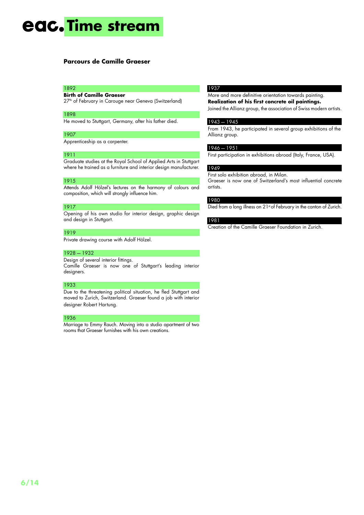## **eac.** Time stream

#### **Parcours de Camille Graeser**

#### 1892

**Birth of Camille Graeser** 27<sup>th</sup> of February in Carouge near Geneva (Switzerland)

#### 1898

He moved to Stuttgart, Germany, after his father died.

#### 1907

Apprenticeship as a carpenter.

#### 1911

Graduate studies at the Royal School of Applied Arts in Stuttgart where he trained as a furniture and interior design manufacturer.

#### 1915

Attends Adolf Hölzel's lectures on the harmony of colours and composition, which will strongly influence him.

#### 1917

Opening of his own studio for interior design, graphic design and design in Stuttgart.

#### 1919

Private drawing course with Adolf Hölzel.

#### 1928—1932

Design of several interior fittings. Camille Graeser is now one of Stuttgart's leading interior designers.

#### 1933

Due to the threatening political situation, he fled Stuttgart and moved to Zurich, Switzerland. Graeser found a job with interior designer Robert Hartung.

#### 1936

Marriage to Emmy Rauch. Moving into a studio apartment of two rooms that Graeser furnishes with his own creations.

#### 1937

More and more definitive orientation towards painting. **Realization of his first concrete oil paintings.** Joined the Allianz group, the association of Swiss modern artists.

#### 1943—1945

From 1943, he participated in several group exhibitions of the Allianz group.

#### 1946—1951

First participation in exhibitions abroad (Italy, France, USA).

#### 1949

First solo exhibition abroad, in Milan.

Graeser is now one of Switzerland's most influential concrete artists.

#### 1980

Died from a long illness on 21st of February in the canton of Zurich.

#### 1981

Creation of the Camille Graeser Foundation in Zurich.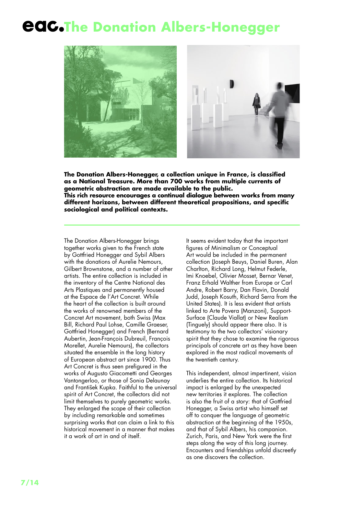### **CAC.The Donation Albers-Honegger**



**The Donation Albers-Honegger, a collection unique in France, is classified as a National Treasure. More than 700 works from multiple currents of geometric abstraction are made available to the public. This rich resource encourages a continual dialogue between works from many**  different horizons, between different theoretical propositions, and specific **sociological and political contexts.**

The Donation Albers-Honegger brings together works given to the French state by Gottfried Honegger and Sybil Albers with the donations of Aurelie Nemours, Gilbert Brownstone, and a number of other artists. The entire collection is included in the inventory of the Centre National des Arts Plastiques and permanently housed at the Espace de l'Art Concret. While the heart of the collection is built around the works of renowned members of the Concret Art movement, both Swiss (Max Bill, Richard Paul Lohse, Camille Graeser, Gottfried Honegger) and French (Bernard Aubertin, Jean-François Dubreuil, François Morellet, Aurelie Nemours), the collectors situated the ensemble in the long history of European abstract art since 1900. Thus Art Concret is thus seen prefigured in the works of Augusto Giacometti and Georges Vantongerloo, or those of Sonia Delaunay and František Kupka. Faithful to the universal spirit of Art Concret, the collectors did not limit themselves to purely geometric works. They enlarged the scope of their collection by including remarkable and sometimes surprising works that can claim a link to this historical movement in a manner that makes it a work of art in and of itself.

It seems evident today that the important figures of Minimalism or Conceptual Art would be included in the permanent collection (Joseph Beuys, Daniel Buren, Alan Charlton, Richard Long, Helmut Federle, Imi Knoebel, Olivier Mosset, Bernar Venet, Franz Erhald Walther from Europe or Carl Andre, Robert Barry, Dan Flavin, Donald Judd, Joseph Kosuth, Richard Serra from the United States). It is less evident that artists linked to Arte Povera (Manzoni), Support-Surface (Claude Viallat) or New Realism (Tinguely) should appear there also. It is testimony to the two collectors' visionary spirit that they chose to examine the rigorous principals of concrete art as they have been explored in the most radical movements of the twentieth century.

This independent, almost impertinent, vision underlies the entire collection. Its historical impact is enlarged by the unexpected new territories it explores. The collection is also the fruit of a story: that of Gottfried Honegger, a Swiss artist who himself set off to conquer the language of geometric abstraction at the beginning of the 1950s, and that of Sybil Albers, his companion. Zurich, Paris, and New York were the first steps along the way of this long journey. Encounters and friendships unfold discreetly as one discovers the collection.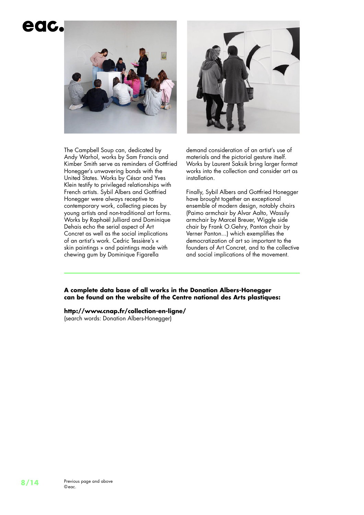### eac.





The Campbell Soup can, dedicated by Andy Warhol, works by Sam Francis and Kimber Smith serve as reminders of Gottfried Honegger's unwavering bonds with the United States. Works by César and Yves Klein testify to privileged relationships with French artists. Sybil Albers and Gottfried Honegger were always receptive to contemporary work, collecting pieces by young artists and non-traditional art forms. Works by Raphaël Julliard and Dominique Dehais echo the serial aspect of Art Concret as well as the social implications of an artist's work. Cedric Tessière's « skin paintings » and paintings made with chewing gum by Dominique Figarella

demand consideration of an artist's use of materials and the pictorial gesture itself. Works by Laurent Saksik bring larger format works into the collection and consider art as installation.

Finally, Sybil Albers and Gottfried Honegger have brought together an exceptional ensemble of modern design, notably chairs (Paimo armchair by Alvar Aalto, Wassily armchair by Marcel Breuer, Wiggle side chair by Frank O.Gehry, Panton chair by Verner Panton...) which exemplifies the democratization of art so important to the founders of Art Concret, and to the collective and social implications of the movement.

**A complete data base of all works in the Donation Albers-Honegger can be found on the website of the Centre national des Arts plastiques:** 

**http://www.cnap.fr/collection-en-ligne/** (search words: Donation Albers-Honegger)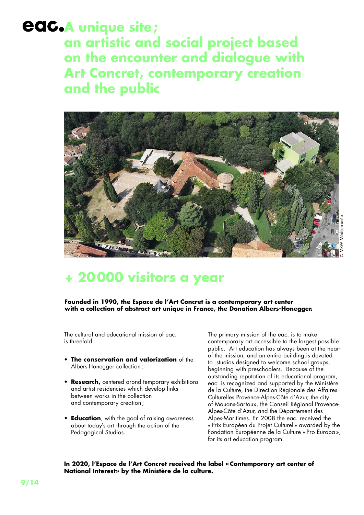### **A unique site; an artistic and social project based on the encounter and dialogue with Art Concret, contemporary creation and the public**



### **+ 20000 visitors a year**

#### **Founded in 1990, the Espace de l'Art Concret is a contemporary art center with a collection of abstract art unique in France, the Donation Albers-Honegger.**

The cultural and educational mission of eac. is threefold:

- **The conservation and valorization** of the Albers-Honegger collection ;
- **Research,** centered arond temporary exhibitions and artist residencies which develop links between works in the collection and contemporary creation ;
- **Education**, with the goal of raising awareness about today's art through the action of the Pedagogical Studios.

The primary mission of the eac. is to make contemporary art accessible to the largest possible public. Art education has always been at the heart of the mission, and an entire building,is devoted to studios designed to welcome school groups, beginning with preschoolers. Because of the outstanding reputation of its educational program, eac. is recognized and supported by the Ministère de la Culture, the Direction Régionale des Affaires Culturelles Provence-Alpes-Côte d'Azur, the city of Mouans-Sartoux, the Conseil Régional Provence-Alpes-Côte d'Azur, and the Département des Alpes-Maritimes. En 2008 the eac. received the « Prix Européen du Projet Culturel» awarded by the Fondation Européenne de la Culture «Pro Europa », for its art education program.

#### **In 2020, l'Espace de l'Art Concret received the label «Contemporary art center of National Interest» by the Ministère de la culture.**

**9/14**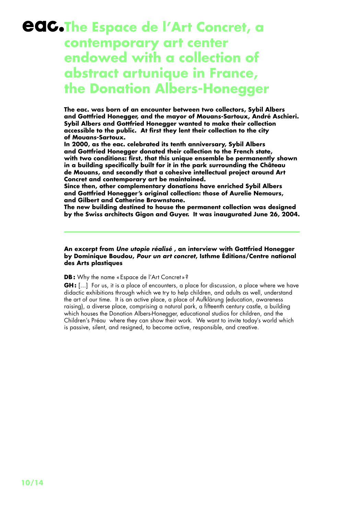### **CAC.The Espace de l'Art Concret, a contemporary art center endowed with a collection of abstract artunique in France, the Donation Albers-Honegger**

**The eac. was born of an encounter between two collectors, Sybil Albers and Gottfried Honegger, and the mayor of Mouans-Sartoux, André Aschieri. Sybil Albers and Gottfried Honegger wanted to make their collection**  accessible to the public. At first they lent their collection to the city **of Mouans-Sartoux.**

**In 2000, as the eac. celebrated its tenth anniversary, Sybil Albers and Gottfried Honegger donated their collection to the French state,** with two conditions: first, that this unique ensemble be permanently shown in a building specifically built for it in the park surrounding the Château **de Mouans, and secondly that a cohesive intellectual project around Art Concret and contemporary art be maintained.**

**Since then, other complementary donations have enriched Sybil Albers and Gottfried Honegger's original collection: those of Aurelie Nemours, and Gilbert and Catherine Brownstone.**

**The new building destined to house the permanent collection was designed by the Swiss architects Gigon and Guyer. It was inaugurated June 26, 2004.**

#### **An excerpt from** *Une utopie réalisé* **, an interview with Gottfried Honegger by Dominique Boudou,** *Pour un art concret***, Isthme Éditions/Centre national des Arts plastiques**

**DB:** Why the name «Espace de l'Art Concret »?

**GH**: [...] For us, it is a place of encounters, a place for discussion, a place where we have didactic exhibitions through which we try to help children, and adults as well, understand the art of our time. It is an active place, a place of Aufklärung (education, awareness raising), a diverse place, comprising a natural park, a fifteenth century castle, a building which houses the Donation Albers-Honegger, educational studios for children, and the Children's Préau where they can show their work. We want to invite today's world which is passive, silent, and resigned, to become active, responsible, and creative.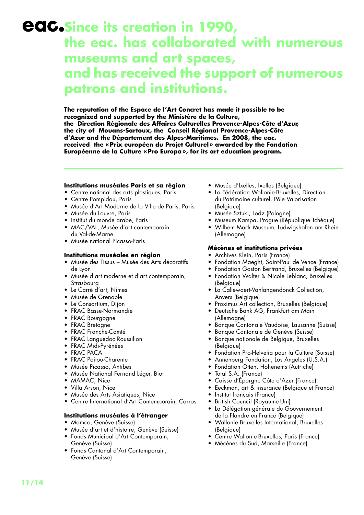### **Since its creation in 1990, the eac. has collaborated with numerous museums and art spaces, and has received the support of numerous patrons and institutions.**

**The reputation of the Espace de l'Art Concret has made it possible to be recognized and supported by the Ministère de la Culture, the Direction Régionale des Affaires Culturelles Provence-Alpes-Côte d'Azur, the city of Mouans-Sartoux, the Conseil Régional Provence-Alpes-Côte d'Azur and the Département des Alpes-Maritimes. En 2008, the eac. received the « Prix européen du Projet Culturel » awarded by the Fondation Européenne de la Culture « Pro Europa », for its art education program.**

#### **Institutions muséales Paris et sa région**

- Centre national des arts plastiques, Paris
- Centre Pompidou, Paris
- Musée d'Art Moderne de la Ville de Paris, Paris
- Musée du Louvre, Paris
- Institut du monde arabe, Paris
- MAC/VAL, Musée d'art contemporain du Val-de-Marne
- Musée national Picasso-Paris

#### **Institutions muséales en région**

- Musée des Tissus Musée des Arts décoratifs de Lyon
- Musée d'art moderne et d'art contemporain, Strasbourg
- Le Carré d'art, Nîmes
- Musée de Grenoble
- Le Consortium, Dijon
- FRAC Basse-Normandie
- FRAC Bourgogne
- FRAC Bretagne
- FRAC Franche-Comté
- FRAC Languedoc Roussillon
- FRAC Midi-Pyrénées
- FRAC PACA
- FRAC Poitou-Charente
- Musée Picasso, Antibes
- Musée National Fernand Léger, Biot
- MAMAC, Nice
- Villa Arson, Nice
- Musée des Arts Asiatiques, Nice
- Centre International d'Art Contemporain, Carros

#### **Institutions muséales à l'étranger**

- Mamco, Genève (Suisse)
- Musée d'art et d'histoire, Genève (Suisse)
- Fonds Municipal d'Art Contemporain, Genève (Suisse)
- Fonds Cantonal d'Art Contemporain, Genève (Suisse)
- Musée d'Ixelles, Ixelles (Belgique)
- La Fédération Wallonie-Bruxelles, Direction du Patrimoine culturel, Pôle Valorisation (Belgique)
- Musée Sztuki, Lodz (Pologne)
- Museum Kampa, Prague (République Tchèque)
- Wilhem Mack Museum, Ludwigshafen am Rhein (Allemagne)

#### **Mécènes et institutions privées**

- Archives Klein, Paris (France)
- Fondation Maeght, Saint-Paul de Vence (France)
- Fondation Gaston Bertrand, Bruxelles (Belgique)
- Fondation Walter & Nicole Leblanc, Bruxelles (Belgique)
- La Callewaert-Vanlangendonck Collection, Anvers (Belgique)
- Proximus Art collection, Bruxelles (Belgique)
- Deutsche Bank AG, Frankfurt am Main (Allemagne)
- Banque Cantonale Vaudoise, Lausanne (Suisse)
- Banque Cantonale de Genève (Suisse)
- Banque nationale de Belgique, Bruxelles (Belgique)
- Fondation Pro-Helvetia pour la Culture (Suisse)
- Annenberg Fondation, Los Angeles (U.S.A.)
- Fondation Otten, Hohenems (Autriche)
- Total S.A. (France)
- Caisse d'Épargne Côte d'Azur (France)
- Eeckman, art & insurance (Belgique et France)
- Institut français (France)
- British Council (Royaume-Uni)
- La Délégation générale du Gouvernement de la Flandre en France (Belgique)
- Wallonie Bruxelles International, Bruxelles (Belgique)
- Centre Wallonie-Bruxelles, Paris (France)
- Mécènes du Sud, Marseille (France)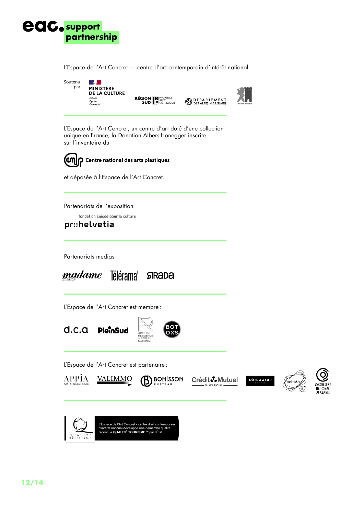

L'Espace de l'Art Concret — centre d'art contemporain d'intérêt national

Soutenu  $\frac{1}{2}$ par MINISTÈRE<br>DE LA CULTURE – –<br>Liberté<br>Égalité<br>Fraternité

**RÉGION EN PROVENCE** 



**DÉPARTEMENT** 

L'Espace de l'Art Concret, un centre d'art doté d'une collection unique en France, la Donation Albers-Honegger inscrite sur l'inventaire du

©¶ning Centre national des arts plastiques

et déposée à l'Espace de l'Art Concret.

Partenariats de l'exposition

fondation suisse pour la culture

### prohelvetia

Partenariats medias



L'Espace de l'Art Concret est membre :



L'Espace de l'Art Concret est partenaire :



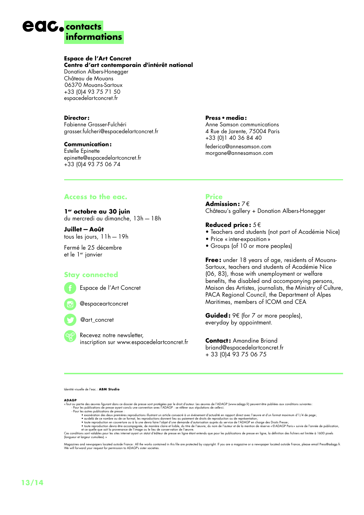### **contacts informations**

#### **Espace de l'Art Concret**

**Centre d'art contemporain d'intérêt national** 

Donation Albers-Honegger Château de Mouans 06370 Mouans-Sartoux +33 (0)4 93 75 71 50 espacedelartconcret.fr

#### **Director :**

Fabienne Grasser-Fulchéri grasser.fulcheri@espacedelartconcret.fr

#### **Communication:**

Estelle Epinette epinette@espacedelartconcret.fr +33 (0)4 93 75 06 74

#### **Access to the eac.**

**1er octobre au 30 juin** du mercredi au dimanche, 13h—18h

**Juillet—Août** tous les jours, 11h—19h

Fermé le 25 décembre et le 1er janvier

#### **Stay connected**



Espace de l'Art Concret



@art\_concret

 Recevez notre newsletter, inscription sur www.espacedelartconcret.fr

#### **Press•media:**

Anne Samson communications 4 Rue de Jarente, 75004 Paris +33 (0)1 40 36 84 40

federica@annesamson.com morgane@annesamson.com

#### **Price**

**Admission:** 7€ Château's gallery + Donation Albers-Honegger

#### **Reduced price:** 5€

- Teachers and students (not part of Académie Nice)
- Price « inter-exposition »
- Groups (of 10 or more peoples)

**Free:** under 18 years of age, residents of Mouans-Sartoux, teachers and students of Académie Nice (06, 83), those with unemployment or welfare benefits, the disabled and accompanying persons, Maison des Artistes, journalists, the Ministry of Culture, PACA Regional Council, the Department of Alpes Maritimes, members of ICOM and CEA

**Guided:** 9€ (for 7 or more peoples), everyday by appointment.

**Contact:** Amandine Briand briand@espacedelartconcret.fr + 33 (0)4 93 75 06 75

Identité visuelle de l'eac.: **ABM Studio**

- -
	- -

**ADAGP**<br>
ADAGP (www.adagp.fr) peuvent être publiées aux conditions suivantes:<br>
- Pour les ouvres figurant dans ce dossier de presse sont protégées par le droit d'auteur. Les œuvres de l'ADAGP (www.adagp.fr) peuvent être p

(longueur et largeur cumulées).»

Magazines and newspapers located outside France: All the works contained in this file are protected by copyright. If you are a magazine or a newspaper located outside France, please email Press@adagp.fr.<br>We will forward yo